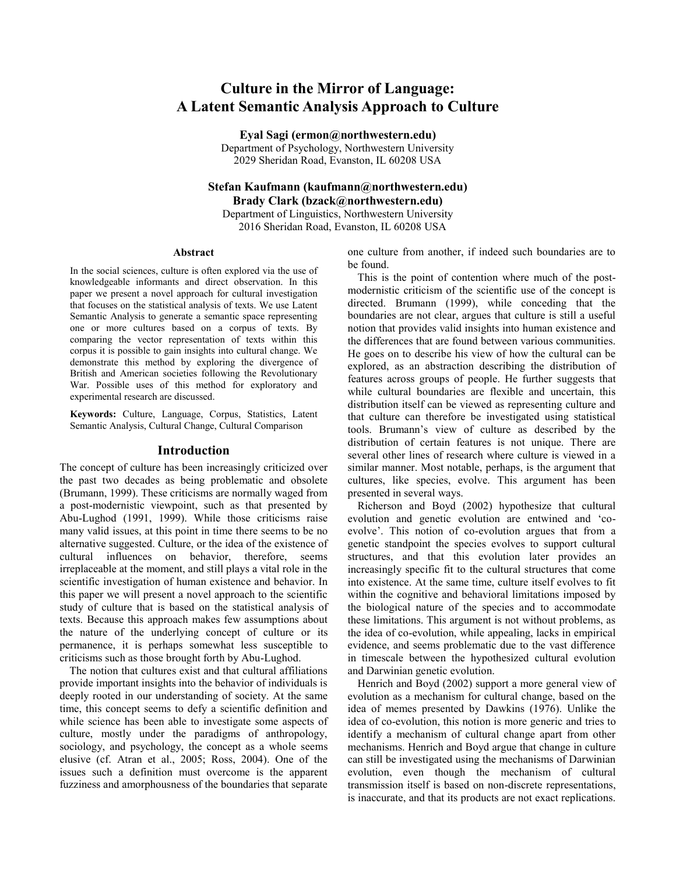# **Culture in the Mirror of Language: A Latent Semantic Analysis Approach to Culture**

**Eyal Sagi (ermon@northwestern.edu)** Department of Psychology, Northwestern University

2029 Sheridan Road, Evanston, IL 60208 USA

# **Stefan Kaufmann (kaufmann@northwestern.edu) Brady Clark (bzack@northwestern.edu)**

Department of Linguistics, Northwestern University 2016 Sheridan Road, Evanston, IL 60208 USA

#### **Abstract**

In the social sciences, culture is often explored via the use of knowledgeable informants and direct observation. In this paper we present a novel approach for cultural investigation that focuses on the statistical analysis of texts. We use Latent Semantic Analysis to generate a semantic space representing one or more cultures based on a corpus of texts. By comparing the vector representation of texts within this corpus it is possible to gain insights into cultural change. We demonstrate this method by exploring the divergence of British and American societies following the Revolutionary War. Possible uses of this method for exploratory and experimental research are discussed.

**Keywords:** Culture, Language, Corpus, Statistics, Latent Semantic Analysis, Cultural Change, Cultural Comparison

### **Introduction**

The concept of culture has been increasingly criticized over the past two decades as being problematic and obsolete (Brumann, 1999). These criticisms are normally waged from a post-modernistic viewpoint, such as that presented by Abu-Lughod (1991, 1999). While those criticisms raise many valid issues, at this point in time there seems to be no alternative suggested. Culture, or the idea of the existence of cultural influences on behavior, therefore, seems irreplaceable at the moment, and still plays a vital role in the scientific investigation of human existence and behavior. In this paper we will present a novel approach to the scientific study of culture that is based on the statistical analysis of texts. Because this approach makes few assumptions about the nature of the underlying concept of culture or its permanence, it is perhaps somewhat less susceptible to criticisms such as those brought forth by Abu-Lughod.

The notion that cultures exist and that cultural affiliations provide important insights into the behavior of individuals is deeply rooted in our understanding of society. At the same time, this concept seems to defy a scientific definition and while science has been able to investigate some aspects of culture, mostly under the paradigms of anthropology, sociology, and psychology, the concept as a whole seems elusive (cf. Atran et al., 2005; Ross, 2004). One of the issues such a definition must overcome is the apparent fuzziness and amorphousness of the boundaries that separate one culture from another, if indeed such boundaries are to be found.

This is the point of contention where much of the postmodernistic criticism of the scientific use of the concept is directed. Brumann (1999), while conceding that the boundaries are not clear, argues that culture is still a useful notion that provides valid insights into human existence and the differences that are found between various communities. He goes on to describe his view of how the cultural can be explored, as an abstraction describing the distribution of features across groups of people. He further suggests that while cultural boundaries are flexible and uncertain, this distribution itself can be viewed as representing culture and that culture can therefore be investigated using statistical tools. Brumann"s view of culture as described by the distribution of certain features is not unique. There are several other lines of research where culture is viewed in a similar manner. Most notable, perhaps, is the argument that cultures, like species, evolve. This argument has been presented in several ways.

Richerson and Boyd (2002) hypothesize that cultural evolution and genetic evolution are entwined and "coevolve". This notion of co-evolution argues that from a genetic standpoint the species evolves to support cultural structures, and that this evolution later provides an increasingly specific fit to the cultural structures that come into existence. At the same time, culture itself evolves to fit within the cognitive and behavioral limitations imposed by the biological nature of the species and to accommodate these limitations. This argument is not without problems, as the idea of co-evolution, while appealing, lacks in empirical evidence, and seems problematic due to the vast difference in timescale between the hypothesized cultural evolution and Darwinian genetic evolution.

Henrich and Boyd (2002) support a more general view of evolution as a mechanism for cultural change, based on the idea of memes presented by Dawkins (1976). Unlike the idea of co-evolution, this notion is more generic and tries to identify a mechanism of cultural change apart from other mechanisms. Henrich and Boyd argue that change in culture can still be investigated using the mechanisms of Darwinian evolution, even though the mechanism of cultural transmission itself is based on non-discrete representations, is inaccurate, and that its products are not exact replications.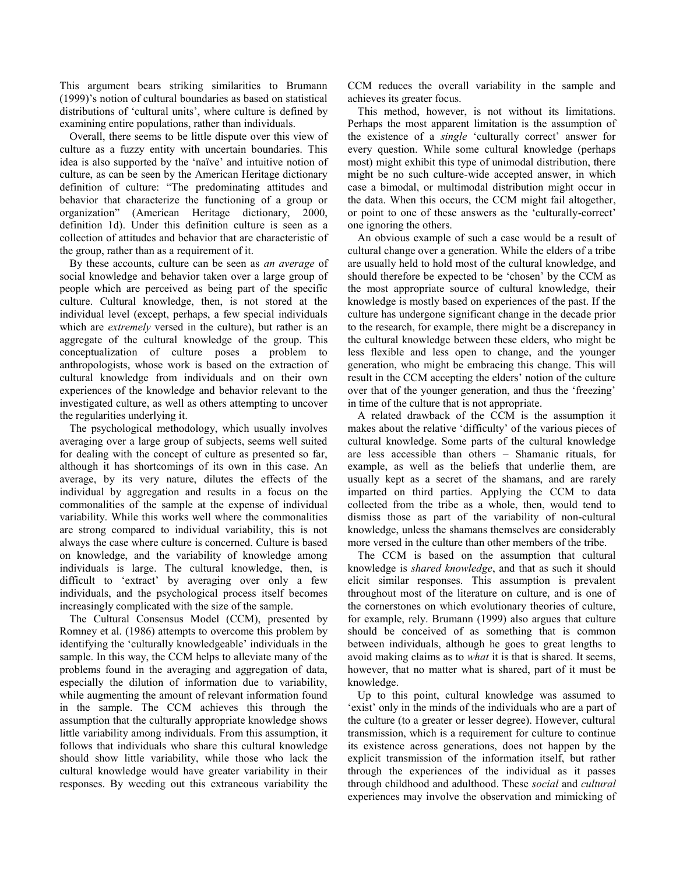This argument bears striking similarities to Brumann (1999)"s notion of cultural boundaries as based on statistical distributions of 'cultural units', where culture is defined by examining entire populations, rather than individuals.

Overall, there seems to be little dispute over this view of culture as a fuzzy entity with uncertain boundaries. This idea is also supported by the 'naïve' and intuitive notion of culture, as can be seen by the American Heritage dictionary definition of culture: "The predominating attitudes and behavior that characterize the functioning of a group or organization" (American Heritage dictionary, 2000, definition 1d). Under this definition culture is seen as a collection of attitudes and behavior that are characteristic of the group, rather than as a requirement of it.

By these accounts, culture can be seen as *an average* of social knowledge and behavior taken over a large group of people which are perceived as being part of the specific culture. Cultural knowledge, then, is not stored at the individual level (except, perhaps, a few special individuals which are *extremely* versed in the culture), but rather is an aggregate of the cultural knowledge of the group. This conceptualization of culture poses a problem to anthropologists, whose work is based on the extraction of cultural knowledge from individuals and on their own experiences of the knowledge and behavior relevant to the investigated culture, as well as others attempting to uncover the regularities underlying it.

The psychological methodology, which usually involves averaging over a large group of subjects, seems well suited for dealing with the concept of culture as presented so far, although it has shortcomings of its own in this case. An average, by its very nature, dilutes the effects of the individual by aggregation and results in a focus on the commonalities of the sample at the expense of individual variability. While this works well where the commonalities are strong compared to individual variability, this is not always the case where culture is concerned. Culture is based on knowledge, and the variability of knowledge among individuals is large. The cultural knowledge, then, is difficult to "extract" by averaging over only a few individuals, and the psychological process itself becomes increasingly complicated with the size of the sample.

The Cultural Consensus Model (CCM), presented by Romney et al. (1986) attempts to overcome this problem by identifying the "culturally knowledgeable" individuals in the sample. In this way, the CCM helps to alleviate many of the problems found in the averaging and aggregation of data, especially the dilution of information due to variability, while augmenting the amount of relevant information found in the sample. The CCM achieves this through the assumption that the culturally appropriate knowledge shows little variability among individuals. From this assumption, it follows that individuals who share this cultural knowledge should show little variability, while those who lack the cultural knowledge would have greater variability in their responses. By weeding out this extraneous variability the CCM reduces the overall variability in the sample and achieves its greater focus.

This method, however, is not without its limitations. Perhaps the most apparent limitation is the assumption of the existence of a *single* 'culturally correct' answer for every question. While some cultural knowledge (perhaps most) might exhibit this type of unimodal distribution, there might be no such culture-wide accepted answer, in which case a bimodal, or multimodal distribution might occur in the data. When this occurs, the CCM might fail altogether, or point to one of these answers as the "culturally-correct" one ignoring the others.

An obvious example of such a case would be a result of cultural change over a generation. While the elders of a tribe are usually held to hold most of the cultural knowledge, and should therefore be expected to be "chosen" by the CCM as the most appropriate source of cultural knowledge, their knowledge is mostly based on experiences of the past. If the culture has undergone significant change in the decade prior to the research, for example, there might be a discrepancy in the cultural knowledge between these elders, who might be less flexible and less open to change, and the younger generation, who might be embracing this change. This will result in the CCM accepting the elders' notion of the culture over that of the younger generation, and thus the "freezing" in time of the culture that is not appropriate.

A related drawback of the CCM is the assumption it makes about the relative "difficulty" of the various pieces of cultural knowledge. Some parts of the cultural knowledge are less accessible than others – Shamanic rituals, for example, as well as the beliefs that underlie them, are usually kept as a secret of the shamans, and are rarely imparted on third parties. Applying the CCM to data collected from the tribe as a whole, then, would tend to dismiss those as part of the variability of non-cultural knowledge, unless the shamans themselves are considerably more versed in the culture than other members of the tribe.

The CCM is based on the assumption that cultural knowledge is *shared knowledge*, and that as such it should elicit similar responses. This assumption is prevalent throughout most of the literature on culture, and is one of the cornerstones on which evolutionary theories of culture, for example, rely. Brumann (1999) also argues that culture should be conceived of as something that is common between individuals, although he goes to great lengths to avoid making claims as to *what* it is that is shared. It seems, however, that no matter what is shared, part of it must be knowledge.

Up to this point, cultural knowledge was assumed to exist' only in the minds of the individuals who are a part of the culture (to a greater or lesser degree). However, cultural transmission, which is a requirement for culture to continue its existence across generations, does not happen by the explicit transmission of the information itself, but rather through the experiences of the individual as it passes through childhood and adulthood. These *social* and *cultural* experiences may involve the observation and mimicking of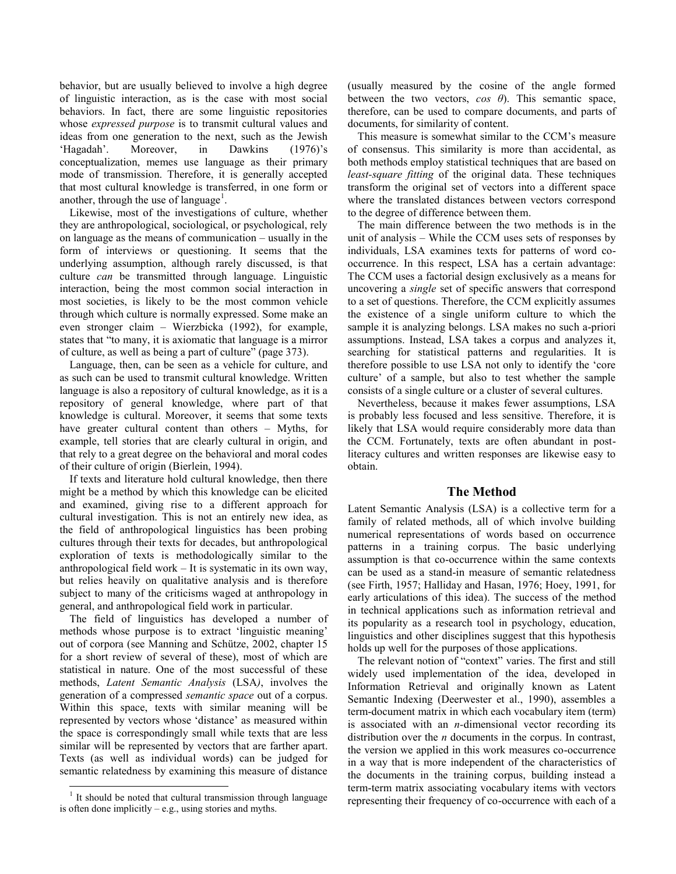behavior, but are usually believed to involve a high degree of linguistic interaction, as is the case with most social behaviors. In fact, there are some linguistic repositories whose *expressed purpose* is to transmit cultural values and ideas from one generation to the next, such as the Jewish "Hagadah". Moreover, in Dawkins (1976)"s conceptualization, memes use language as their primary mode of transmission. Therefore, it is generally accepted that most cultural knowledge is transferred, in one form or another, through the use of language<sup>1</sup>.

Likewise, most of the investigations of culture, whether they are anthropological, sociological, or psychological, rely on language as the means of communication – usually in the form of interviews or questioning. It seems that the underlying assumption, although rarely discussed, is that culture *can* be transmitted through language. Linguistic interaction, being the most common social interaction in most societies, is likely to be the most common vehicle through which culture is normally expressed. Some make an even stronger claim – Wierzbicka (1992), for example, states that "to many, it is axiomatic that language is a mirror of culture, as well as being a part of culture" (page 373).

Language, then, can be seen as a vehicle for culture, and as such can be used to transmit cultural knowledge. Written language is also a repository of cultural knowledge, as it is a repository of general knowledge, where part of that knowledge is cultural. Moreover, it seems that some texts have greater cultural content than others – Myths, for example, tell stories that are clearly cultural in origin, and that rely to a great degree on the behavioral and moral codes of their culture of origin (Bierlein, 1994).

If texts and literature hold cultural knowledge, then there might be a method by which this knowledge can be elicited and examined, giving rise to a different approach for cultural investigation. This is not an entirely new idea, as the field of anthropological linguistics has been probing cultures through their texts for decades, but anthropological exploration of texts is methodologically similar to the anthropological field work – It is systematic in its own way, but relies heavily on qualitative analysis and is therefore subject to many of the criticisms waged at anthropology in general, and anthropological field work in particular.

The field of linguistics has developed a number of methods whose purpose is to extract 'linguistic meaning' out of corpora (see Manning and Schütze, 2002, chapter 15 for a short review of several of these), most of which are statistical in nature. One of the most successful of these methods, *Latent Semantic Analysis* (LSA*)*, involves the generation of a compressed *semantic space* out of a corpus. Within this space, texts with similar meaning will be represented by vectors whose "distance" as measured within the space is correspondingly small while texts that are less similar will be represented by vectors that are farther apart. Texts (as well as individual words) can be judged for semantic relatedness by examining this measure of distance

 $\overline{a}$ 

(usually measured by the cosine of the angle formed between the two vectors, *cos θ*). This semantic space, therefore, can be used to compare documents, and parts of documents, for similarity of content.

This measure is somewhat similar to the CCM"s measure of consensus. This similarity is more than accidental, as both methods employ statistical techniques that are based on *least-square fitting* of the original data. These techniques transform the original set of vectors into a different space where the translated distances between vectors correspond to the degree of difference between them.

The main difference between the two methods is in the unit of analysis – While the CCM uses sets of responses by individuals, LSA examines texts for patterns of word cooccurrence. In this respect, LSA has a certain advantage: The CCM uses a factorial design exclusively as a means for uncovering a *single* set of specific answers that correspond to a set of questions. Therefore, the CCM explicitly assumes the existence of a single uniform culture to which the sample it is analyzing belongs. LSA makes no such a-priori assumptions. Instead, LSA takes a corpus and analyzes it, searching for statistical patterns and regularities. It is therefore possible to use LSA not only to identify the "core culture" of a sample, but also to test whether the sample consists of a single culture or a cluster of several cultures.

Nevertheless, because it makes fewer assumptions, LSA is probably less focused and less sensitive. Therefore, it is likely that LSA would require considerably more data than the CCM. Fortunately, texts are often abundant in postliteracy cultures and written responses are likewise easy to obtain.

### **The Method**

Latent Semantic Analysis (LSA) is a collective term for a family of related methods, all of which involve building numerical representations of words based on occurrence patterns in a training corpus. The basic underlying assumption is that co-occurrence within the same contexts can be used as a stand-in measure of semantic relatedness (see Firth, 1957; Halliday and Hasan, 1976; Hoey, 1991, for early articulations of this idea). The success of the method in technical applications such as information retrieval and its popularity as a research tool in psychology, education, linguistics and other disciplines suggest that this hypothesis holds up well for the purposes of those applications.

The relevant notion of "context" varies. The first and still widely used implementation of the idea, developed in Information Retrieval and originally known as Latent Semantic Indexing (Deerwester et al., 1990), assembles a term-document matrix in which each vocabulary item (term) is associated with an *n-*dimensional vector recording its distribution over the *n* documents in the corpus. In contrast, the version we applied in this work measures co-occurrence in a way that is more independent of the characteristics of the documents in the training corpus, building instead a term-term matrix associating vocabulary items with vectors representing their frequency of co-occurrence with each of a

<sup>&</sup>lt;sup>1</sup> It should be noted that cultural transmission through language is often done implicitly  $-e.g.,$  using stories and myths.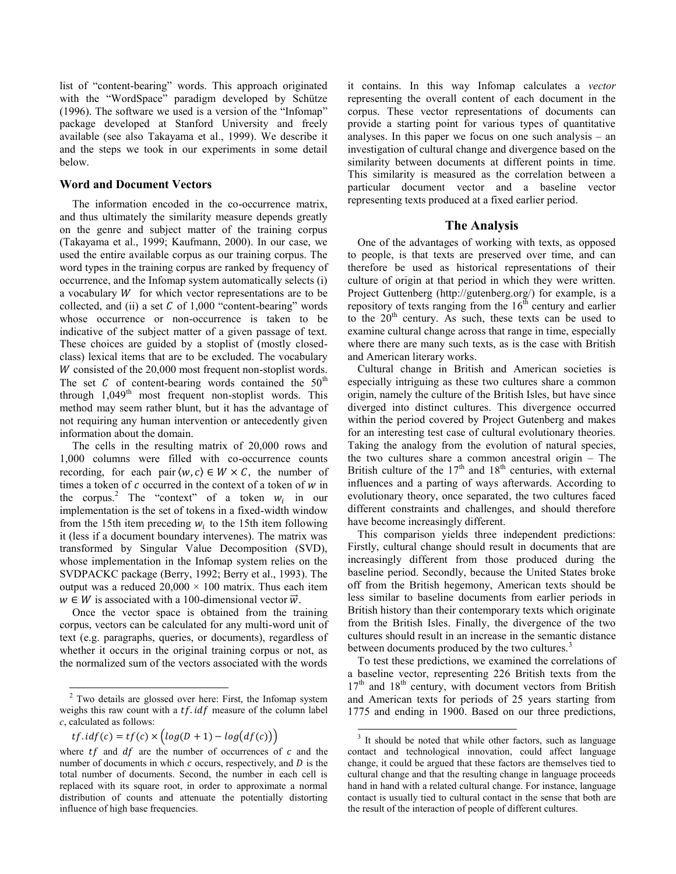list of "content-bearing" words. This approach originated with the "WordSpace" paradigm developed by Schütze (1996). The software we used is a version of the "Infomap" package developed at Stanford University and freely available (see also Takayama et al., 1999). We describe it and the steps we took in our experiments in some detail below.

### **Word and Document Vectors**

The information encoded in the co-occurrence matrix, and thus ultimately the similarity measure depends greatly on the genre and subject matter of the training corpus (Takayama et al., 1999; Kaufmann, 2000). In our case, we used the entire available corpus as our training corpus. The word types in the training corpus are ranked by frequency of occurrence, and the Infomap system automatically selects (i) a vocabulary  $W$  for which vector representations are to be collected, and (ii) a set  $C$  of 1,000 "content-bearing" words whose occurrence or non-occurrence is taken to be indicative of the subject matter of a given passage of text. These choices are guided by a stoplist of (mostly closedclass) lexical items that are to be excluded. The vocabulary  $W$  consisted of the 20,000 most frequent non-stoplist words. The set  $C$  of content-bearing words contained the  $50<sup>th</sup>$ through  $1,049$ <sup>th</sup> most frequent non-stoplist words. This method may seem rather blunt, but it has the advantage of not requiring any human intervention or antecedently given information about the domain.

The cells in the resulting matrix of 20,000 rows and 1,000 columns were filled with co-occurrence counts recording, for each pair  $\langle w, c \rangle \in W \times C$ , the number of times a token of  $c$  occurred in the context of a token of  $w$  in the corpus.<sup>2</sup> The "context" of a token  $w_i$  in our implementation is the set of tokens in a fixed-width window from the 15th item preceding  $w_i$  to the 15th item following it (less if a document boundary intervenes). The matrix was transformed by Singular Value Decomposition (SVD), whose implementation in the Infomap system relies on the SVDPACKC package (Berry, 1992; Berry et al., 1993). The output was a reduced  $20,000 \times 100$  matrix. Thus each item  $w \in W$  is associated with a 100-dimensional vector  $\vec{w}$ .

Once the vector space is obtained from the training corpus, vectors can be calculated for any multi-word unit of text (e.g. paragraphs, queries, or documents), regardless of whether it occurs in the original training corpus or not, as the normalized sum of the vectors associated with the words

 $\overline{a}$ 

it contains. In this way Infomap calculates a *vector* representing the overall content of each document in the corpus. These vector representations of documents can provide a starting point for various types of quantitative analyses. In this paper we focus on one such analysis – an investigation of cultural change and divergence based on the similarity between documents at different points in time. This similarity is measured as the correlation between a particular document vector and a baseline vector representing texts produced at a fixed earlier period.

## **The Analysis**

One of the advantages of working with texts, as opposed to people, is that texts are preserved over time, and can therefore be used as historical representations of their culture of origin at that period in which they were written. Project Guttenberg (http://gutenberg.org/) for example, is a repository of texts ranging from the  $16^{\text{th}}$  century and earlier to the  $20<sup>th</sup>$  century. As such, these texts can be used to examine cultural change across that range in time, especially where there are many such texts, as is the case with British and American literary works.

Cultural change in British and American societies is especially intriguing as these two cultures share a common origin, namely the culture of the British Isles, but have since diverged into distinct cultures. This divergence occurred within the period covered by Project Gutenberg and makes for an interesting test case of cultural evolutionary theories. Taking the analogy from the evolution of natural species, the two cultures share a common ancestral origin – The British culture of the  $17<sup>th</sup>$  and  $18<sup>th</sup>$  centuries, with external influences and a parting of ways afterwards. According to evolutionary theory, once separated, the two cultures faced different constraints and challenges, and should therefore have become increasingly different.

This comparison yields three independent predictions: Firstly, cultural change should result in documents that are increasingly different from those produced during the baseline period. Secondly, because the United States broke off from the British hegemony, American texts should be less similar to baseline documents from earlier periods in British history than their contemporary texts which originate from the British Isles. Finally, the divergence of the two cultures should result in an increase in the semantic distance between documents produced by the two cultures.<sup>3</sup>

To test these predictions, we examined the correlations of a baseline vector, representing 226 British texts from the  $17<sup>th</sup>$  and  $18<sup>th</sup>$  century, with document vectors from British and American texts for periods of 25 years starting from 1775 and ending in 1900. Based on our three predictions,

 $\overline{\phantom{a}}$ 

 $2$  Two details are glossed over here: First, the Infomap system weighs this raw count with a  $tf.idf$  measure of the column label *c*, calculated as follows:

 $tf.id f(c) = tf(c) \times (log(D + 1) - log(df(c)))$ 

where  $tf$  and  $df$  are the number of occurrences of  $c$  and the number of documents in which  $c$  occurs, respectively, and  $D$  is the total number of documents. Second, the number in each cell is replaced with its square root, in order to approximate a normal distribution of counts and attenuate the potentially distorting influence of high base frequencies.

<sup>&</sup>lt;sup>3</sup> It should be noted that while other factors, such as language contact and technological innovation, could affect language change, it could be argued that these factors are themselves tied to cultural change and that the resulting change in language proceeds hand in hand with a related cultural change. For instance, language contact is usually tied to cultural contact in the sense that both are the result of the interaction of people of different cultures.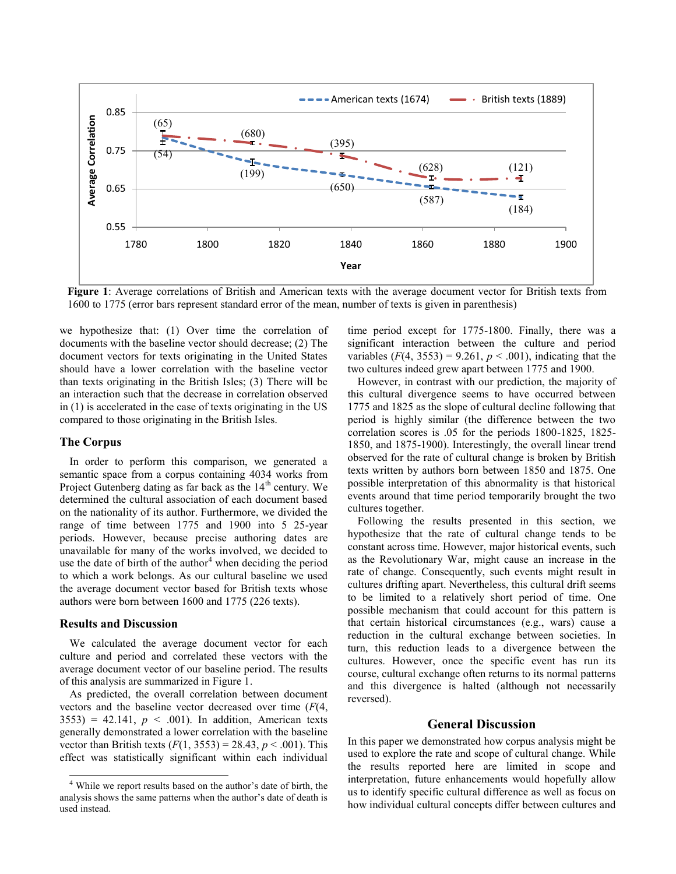

**Figure 1**: Average correlations of British and American texts with the average document vector for British texts from 1600 to 1775 (error bars represent standard error of the mean, number of texts is given in parenthesis)

we hypothesize that: (1) Over time the correlation of documents with the baseline vector should decrease; (2) The document vectors for texts originating in the United States should have a lower correlation with the baseline vector than texts originating in the British Isles; (3) There will be an interaction such that the decrease in correlation observed in (1) is accelerated in the case of texts originating in the US compared to those originating in the British Isles.

### **The Corpus**

In order to perform this comparison, we generated a semantic space from a corpus containing 4034 works from Project Gutenberg dating as far back as the  $14<sup>th</sup>$  century. We determined the cultural association of each document based on the nationality of its author. Furthermore, we divided the range of time between 1775 and 1900 into 5 25-year periods. However, because precise authoring dates are unavailable for many of the works involved, we decided to use the date of birth of the author<sup>4</sup> when deciding the period to which a work belongs. As our cultural baseline we used the average document vector based for British texts whose authors were born between 1600 and 1775 (226 texts).

### **Results and Discussion**

l

We calculated the average document vector for each culture and period and correlated these vectors with the average document vector of our baseline period. The results of this analysis are summarized in Figure 1.

As predicted, the overall correlation between document vectors and the baseline vector decreased over time (*F*(4,  $3553$ ) = 42.141,  $p < .001$ ). In addition, American texts generally demonstrated a lower correlation with the baseline vector than British texts  $(F(1, 3553) = 28.43, p < .001)$ . This effect was statistically significant within each individual time period except for 1775-1800. Finally, there was a significant interaction between the culture and period variables  $(F(4, 3553) = 9.261, p < .001)$ , indicating that the two cultures indeed grew apart between 1775 and 1900.

However, in contrast with our prediction, the majority of this cultural divergence seems to have occurred between 1775 and 1825 as the slope of cultural decline following that period is highly similar (the difference between the two correlation scores is .05 for the periods 1800-1825, 1825- 1850, and 1875-1900). Interestingly, the overall linear trend observed for the rate of cultural change is broken by British texts written by authors born between 1850 and 1875. One possible interpretation of this abnormality is that historical events around that time period temporarily brought the two cultures together.

Following the results presented in this section, we hypothesize that the rate of cultural change tends to be constant across time. However, major historical events, such as the Revolutionary War, might cause an increase in the rate of change. Consequently, such events might result in cultures drifting apart. Nevertheless, this cultural drift seems to be limited to a relatively short period of time. One possible mechanism that could account for this pattern is that certain historical circumstances (e.g., wars) cause a reduction in the cultural exchange between societies. In turn, this reduction leads to a divergence between the cultures. However, once the specific event has run its course, cultural exchange often returns to its normal patterns and this divergence is halted (although not necessarily reversed).

## **General Discussion**

In this paper we demonstrated how corpus analysis might be used to explore the rate and scope of cultural change. While the results reported here are limited in scope and interpretation, future enhancements would hopefully allow us to identify specific cultural difference as well as focus on how individual cultural concepts differ between cultures and

<sup>4</sup> While we report results based on the author"s date of birth, the analysis shows the same patterns when the author"s date of death is used instead.